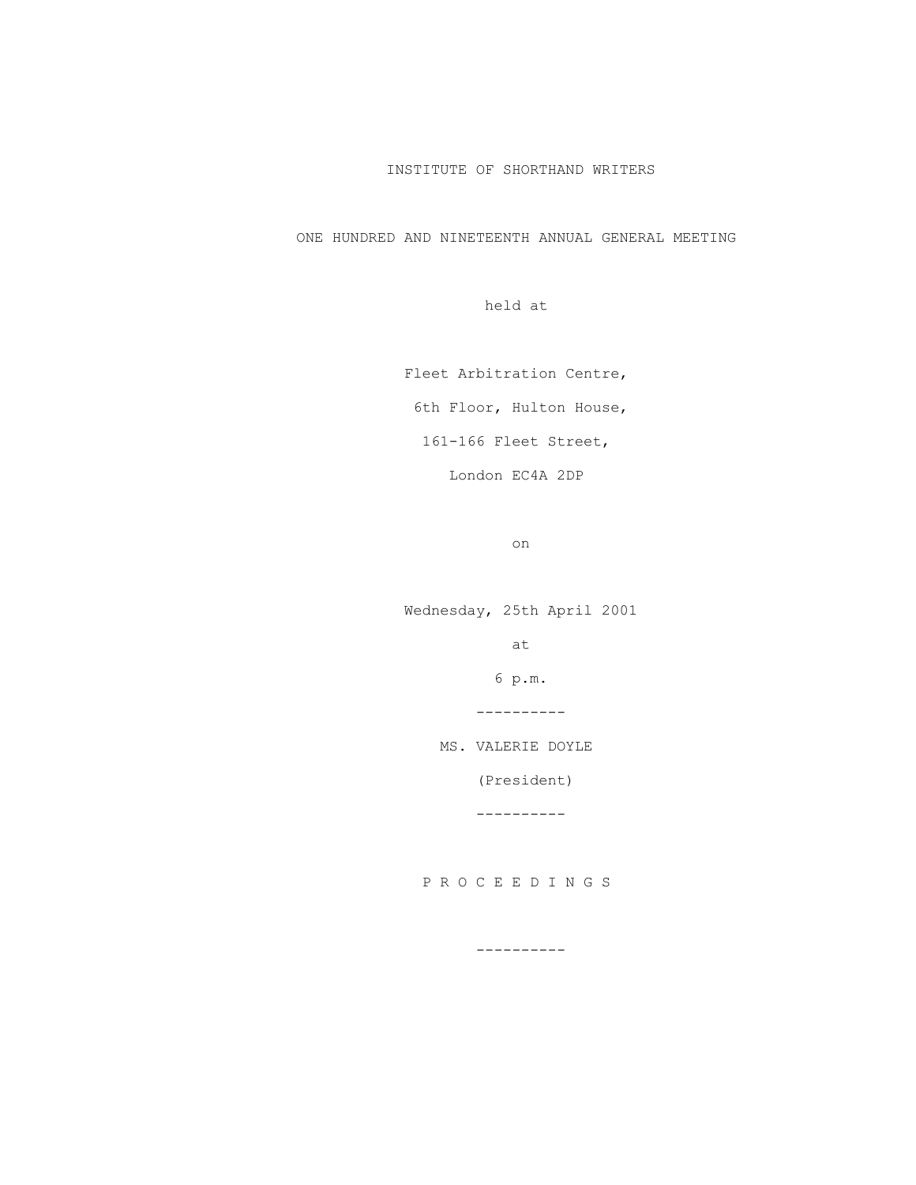# INSTITUTE OF SHORTHAND WRITERS

ONE HUNDRED AND NINETEENTH ANNUAL GENERAL MEETING

held at

Fleet Arbitration Centre,

6th Floor, Hulton House,

161-166 Fleet Street,

London EC4A 2DP

on

 Wednesday, 25th April 2001 at the contract of the contract of the contract of the contract of the contract of the contract of the contract of the contract of the contract of the contract of the contract of the contract of the contract of the contrac 6 p.m. ---------- MS. VALERIE DOYLE (President) ----------

P R O C E E D I N G S

----------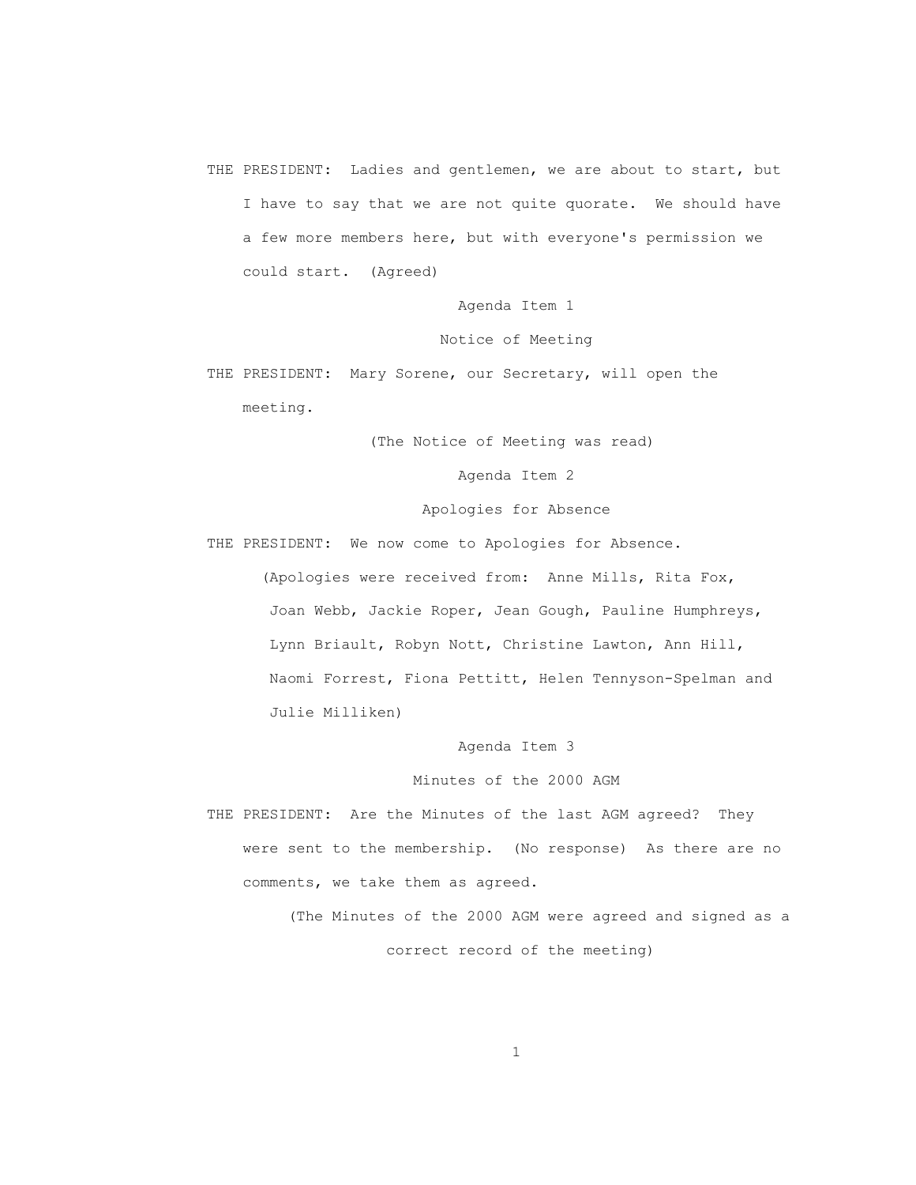THE PRESIDENT: Ladies and gentlemen, we are about to start, but I have to say that we are not quite quorate. We should have a few more members here, but with everyone's permission we could start. (Agreed)

Agenda Item 1

Notice of Meeting

 THE PRESIDENT: Mary Sorene, our Secretary, will open the meeting.

(The Notice of Meeting was read)

Agenda Item 2

Apologies for Absence

THE PRESIDENT: We now come to Apologies for Absence.

 (Apologies were received from: Anne Mills, Rita Fox, Joan Webb, Jackie Roper, Jean Gough, Pauline Humphreys, Lynn Briault, Robyn Nott, Christine Lawton, Ann Hill, Naomi Forrest, Fiona Pettitt, Helen Tennyson-Spelman and Julie Milliken)

Agenda Item 3

Minutes of the 2000 AGM

 THE PRESIDENT: Are the Minutes of the last AGM agreed? They were sent to the membership. (No response) As there are no comments, we take them as agreed.

> (The Minutes of the 2000 AGM were agreed and signed as a correct record of the meeting)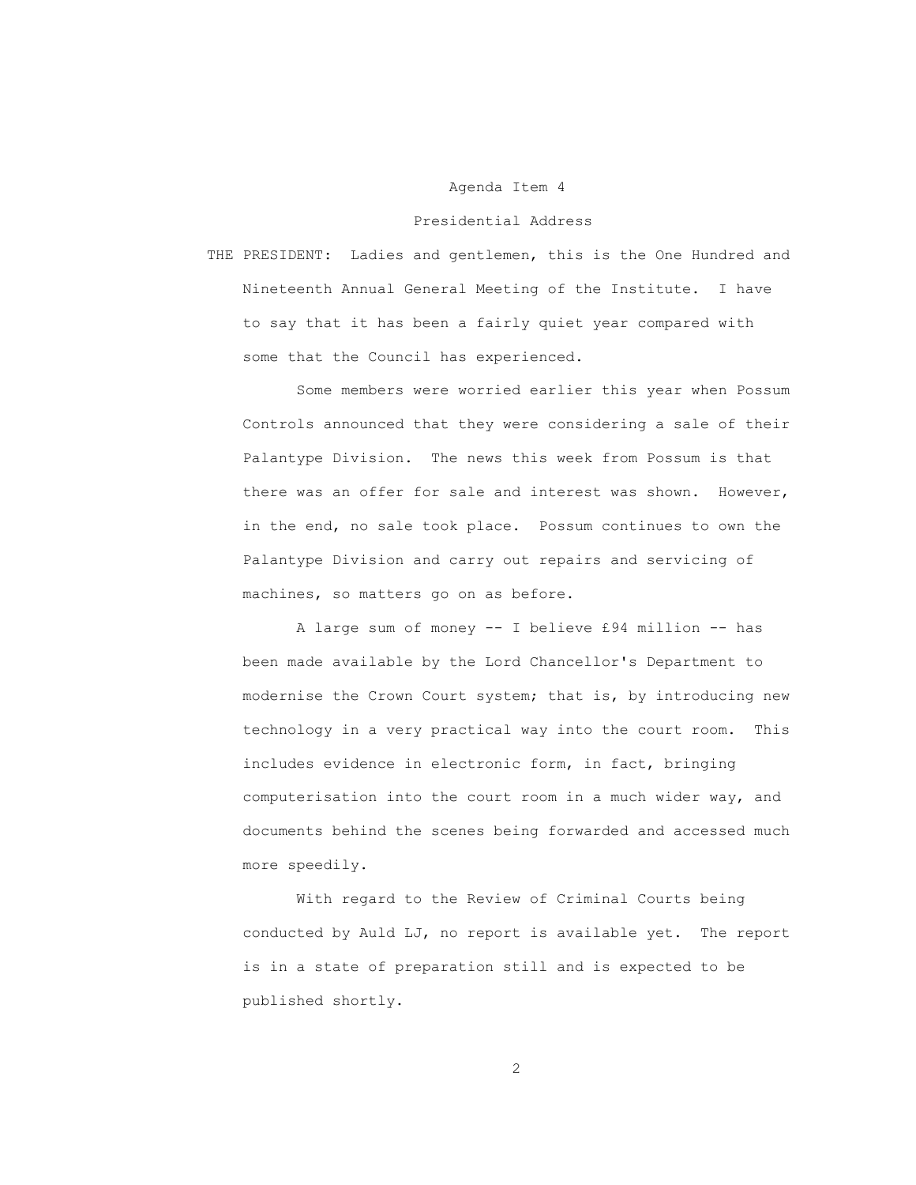### Agenda Item 4

### Presidential Address

 THE PRESIDENT: Ladies and gentlemen, this is the One Hundred and Nineteenth Annual General Meeting of the Institute. I have to say that it has been a fairly quiet year compared with some that the Council has experienced.

 Some members were worried earlier this year when Possum Controls announced that they were considering a sale of their Palantype Division. The news this week from Possum is that there was an offer for sale and interest was shown. However, in the end, no sale took place. Possum continues to own the Palantype Division and carry out repairs and servicing of machines, so matters go on as before.

 A large sum of money -- I believe £94 million -- has been made available by the Lord Chancellor's Department to modernise the Crown Court system; that is, by introducing new technology in a very practical way into the court room. This includes evidence in electronic form, in fact, bringing computerisation into the court room in a much wider way, and documents behind the scenes being forwarded and accessed much more speedily.

 With regard to the Review of Criminal Courts being conducted by Auld LJ, no report is available yet. The report is in a state of preparation still and is expected to be published shortly.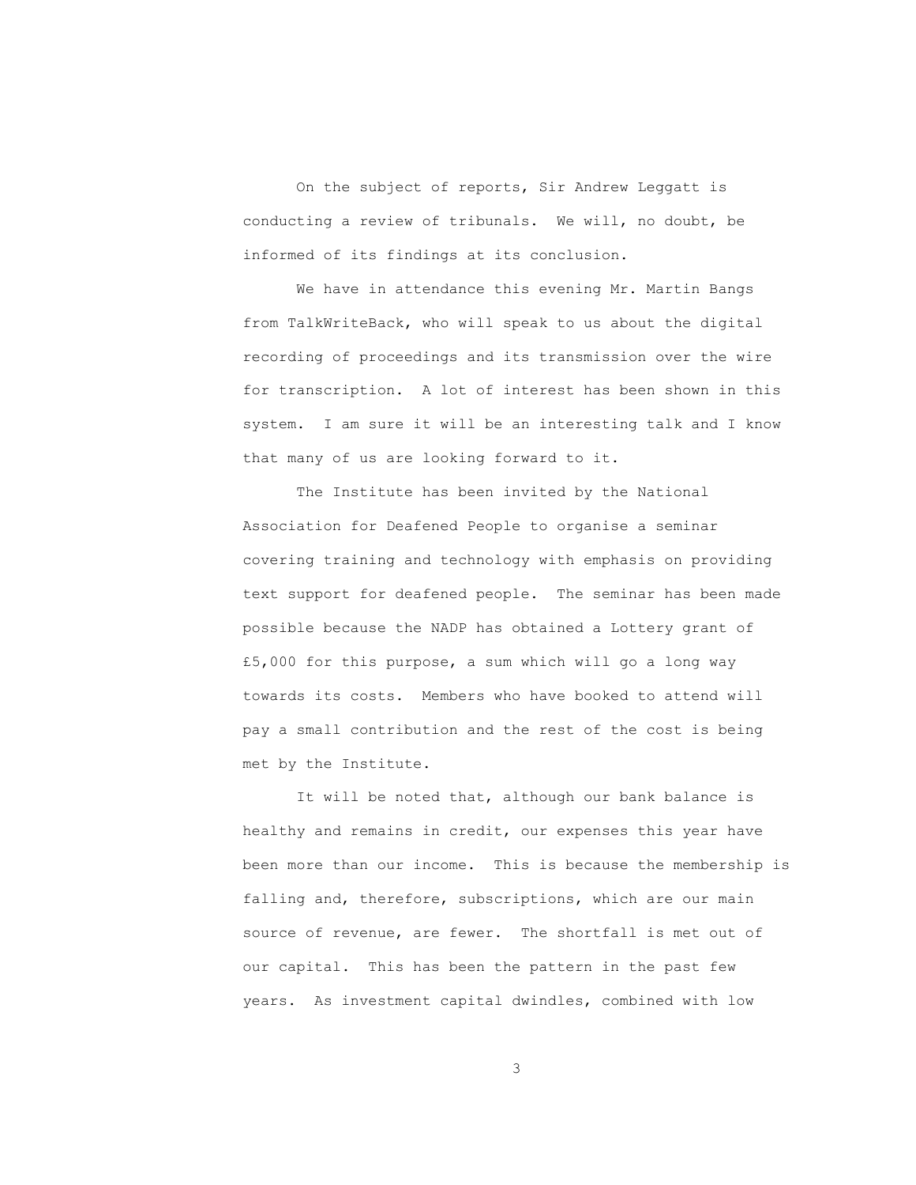On the subject of reports, Sir Andrew Leggatt is conducting a review of tribunals. We will, no doubt, be informed of its findings at its conclusion.

 We have in attendance this evening Mr. Martin Bangs from TalkWriteBack, who will speak to us about the digital recording of proceedings and its transmission over the wire for transcription. A lot of interest has been shown in this system. I am sure it will be an interesting talk and I know that many of us are looking forward to it.

 The Institute has been invited by the National Association for Deafened People to organise a seminar covering training and technology with emphasis on providing text support for deafened people. The seminar has been made possible because the NADP has obtained a Lottery grant of £5,000 for this purpose, a sum which will go a long way towards its costs. Members who have booked to attend will pay a small contribution and the rest of the cost is being met by the Institute.

It will be noted that, although our bank balance is healthy and remains in credit, our expenses this year have been more than our income. This is because the membership is falling and, therefore, subscriptions, which are our main source of revenue, are fewer. The shortfall is met out of our capital. This has been the pattern in the past few years. As investment capital dwindles, combined with low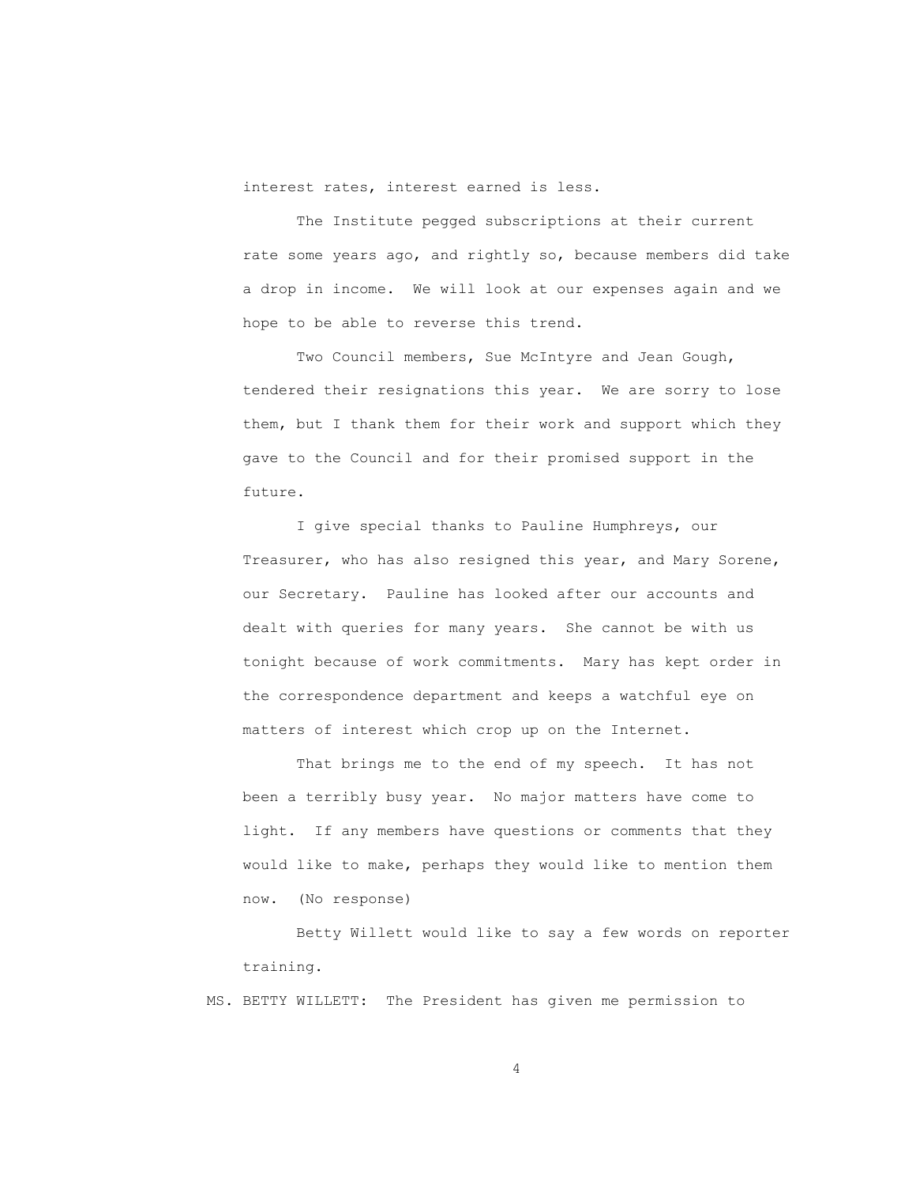interest rates, interest earned is less.

 The Institute pegged subscriptions at their current rate some years ago, and rightly so, because members did take a drop in income. We will look at our expenses again and we hope to be able to reverse this trend.

Two Council members, Sue McIntyre and Jean Gough, tendered their resignations this year. We are sorry to lose them, but I thank them for their work and support which they gave to the Council and for their promised support in the future.

 I give special thanks to Pauline Humphreys, our Treasurer, who has also resigned this year, and Mary Sorene, our Secretary. Pauline has looked after our accounts and dealt with queries for many years. She cannot be with us tonight because of work commitments. Mary has kept order in the correspondence department and keeps a watchful eye on matters of interest which crop up on the Internet.

 That brings me to the end of my speech. It has not been a terribly busy year. No major matters have come to light. If any members have questions or comments that they would like to make, perhaps they would like to mention them now. (No response)

 Betty Willett would like to say a few words on reporter training.

MS. BETTY WILLETT: The President has given me permission to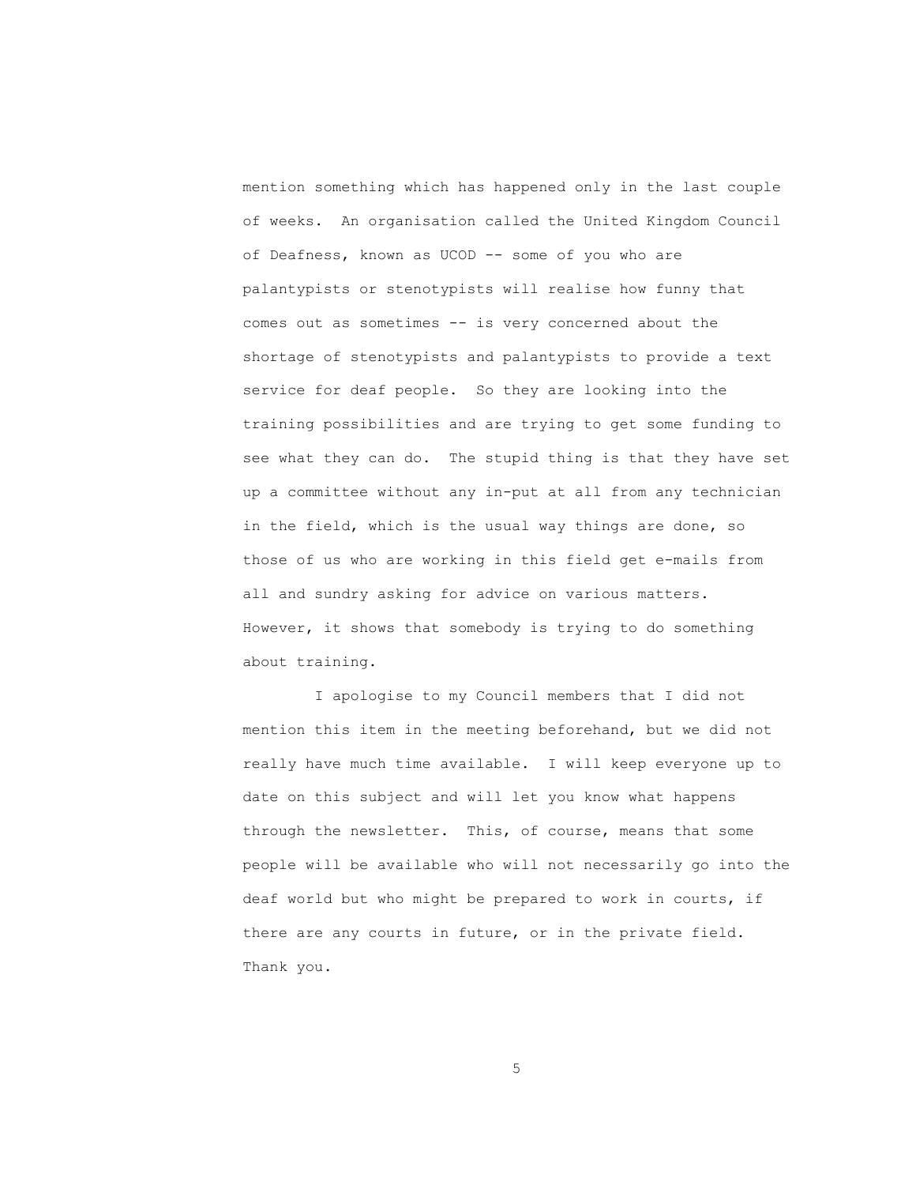mention something which has happened only in the last couple of weeks. An organisation called the United Kingdom Council of Deafness, known as UCOD -- some of you who are palantypists or stenotypists will realise how funny that comes out as sometimes -- is very concerned about the shortage of stenotypists and palantypists to provide a text service for deaf people. So they are looking into the training possibilities and are trying to get some funding to see what they can do. The stupid thing is that they have set up a committee without any in-put at all from any technician in the field, which is the usual way things are done, so those of us who are working in this field get e-mails from all and sundry asking for advice on various matters. However, it shows that somebody is trying to do something about training.

 I apologise to my Council members that I did not mention this item in the meeting beforehand, but we did not really have much time available. I will keep everyone up to date on this subject and will let you know what happens through the newsletter. This, of course, means that some people will be available who will not necessarily go into the deaf world but who might be prepared to work in courts, if there are any courts in future, or in the private field. Thank you.

 $\sim$  5  $\sim$  5  $\sim$  5  $\sim$  5  $\sim$  5  $\sim$  5  $\sim$  5  $\sim$  5  $\sim$  5  $\sim$  5  $\sim$  5  $\sim$  5  $\sim$  5  $\sim$  5  $\sim$  5  $\sim$  5  $\sim$  5  $\sim$  5  $\sim$  5  $\sim$  5  $\sim$  5  $\sim$  5  $\sim$  5  $\sim$  5  $\sim$  5  $\sim$  5  $\sim$  5  $\sim$  5  $\sim$  5  $\sim$  5  $\sim$  5  $\sim$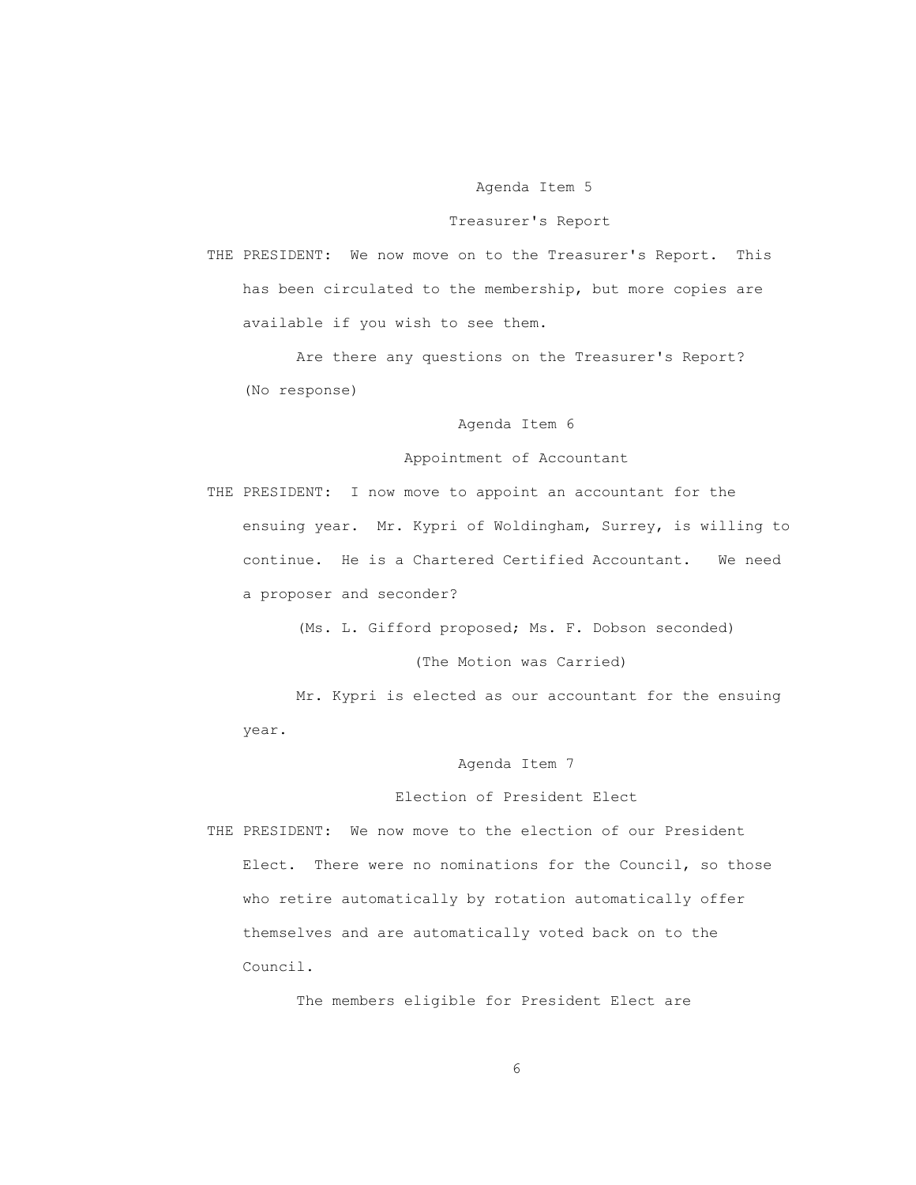### Agenda Item 5

### Treasurer's Report

 THE PRESIDENT: We now move on to the Treasurer's Report. This has been circulated to the membership, but more copies are available if you wish to see them.

 Are there any questions on the Treasurer's Report? (No response)

# Agenda Item 6

### Appointment of Accountant

 THE PRESIDENT: I now move to appoint an accountant for the ensuing year. Mr. Kypri of Woldingham, Surrey, is willing to continue. He is a Chartered Certified Accountant. We need a proposer and seconder?

(Ms. L. Gifford proposed; Ms. F. Dobson seconded)

(The Motion was Carried)

 Mr. Kypri is elected as our accountant for the ensuing year.

Agenda Item 7

#### Election of President Elect

 THE PRESIDENT: We now move to the election of our President Elect. There were no nominations for the Council, so those who retire automatically by rotation automatically offer themselves and are automatically voted back on to the Council.

The members eligible for President Elect are

 $\sim$  6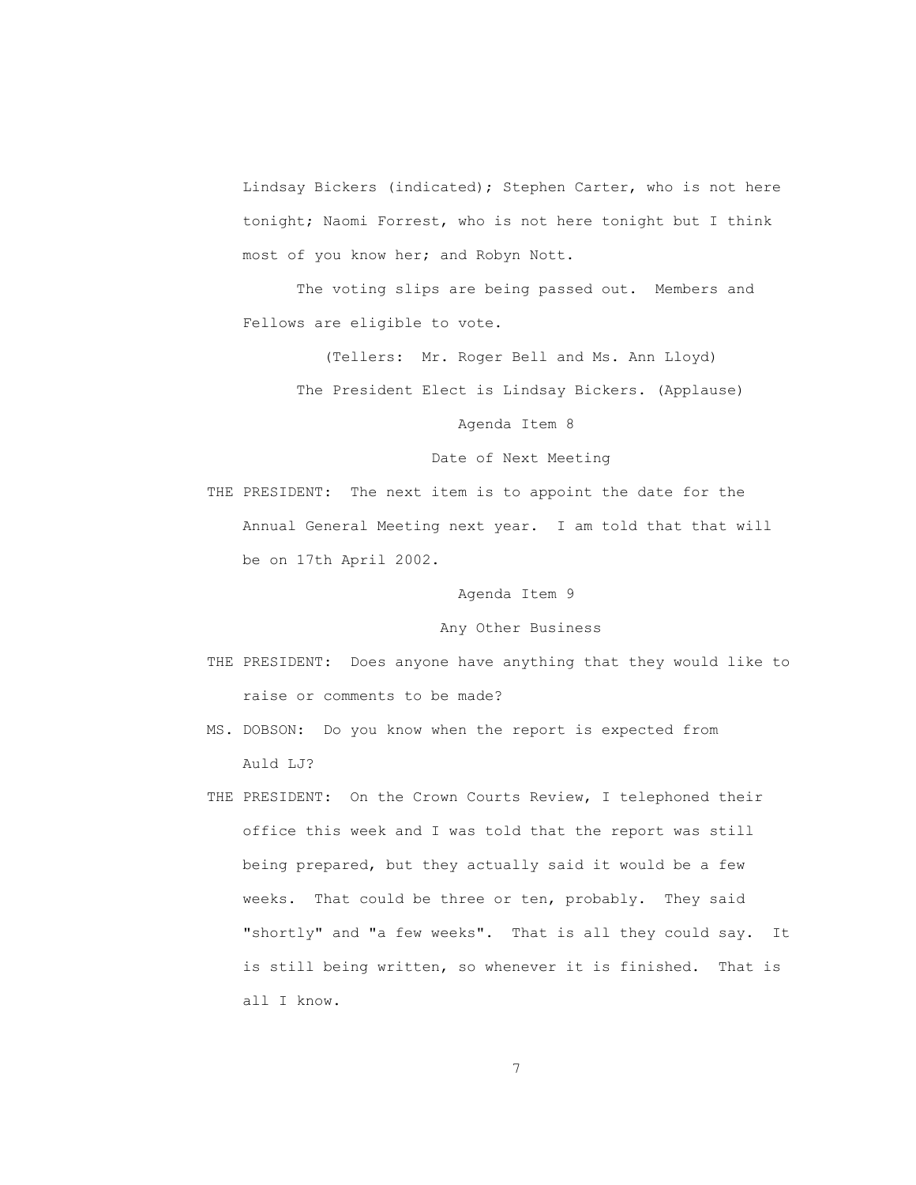Lindsay Bickers (indicated); Stephen Carter, who is not here tonight; Naomi Forrest, who is not here tonight but I think most of you know her; and Robyn Nott.

 The voting slips are being passed out. Members and Fellows are eligible to vote.

(Tellers: Mr. Roger Bell and Ms. Ann Lloyd)

The President Elect is Lindsay Bickers. (Applause)

Agenda Item 8

Date of Next Meeting

 THE PRESIDENT: The next item is to appoint the date for the Annual General Meeting next year. I am told that that will be on 17th April 2002.

Agenda Item 9

Any Other Business

- THE PRESIDENT: Does anyone have anything that they would like to raise or comments to be made?
- MS. DOBSON: Do you know when the report is expected from Auld LJ?
- THE PRESIDENT: On the Crown Courts Review, I telephoned their office this week and I was told that the report was still being prepared, but they actually said it would be a few weeks. That could be three or ten, probably. They said "shortly" and "a few weeks". That is all they could say. It is still being written, so whenever it is finished. That is all I know.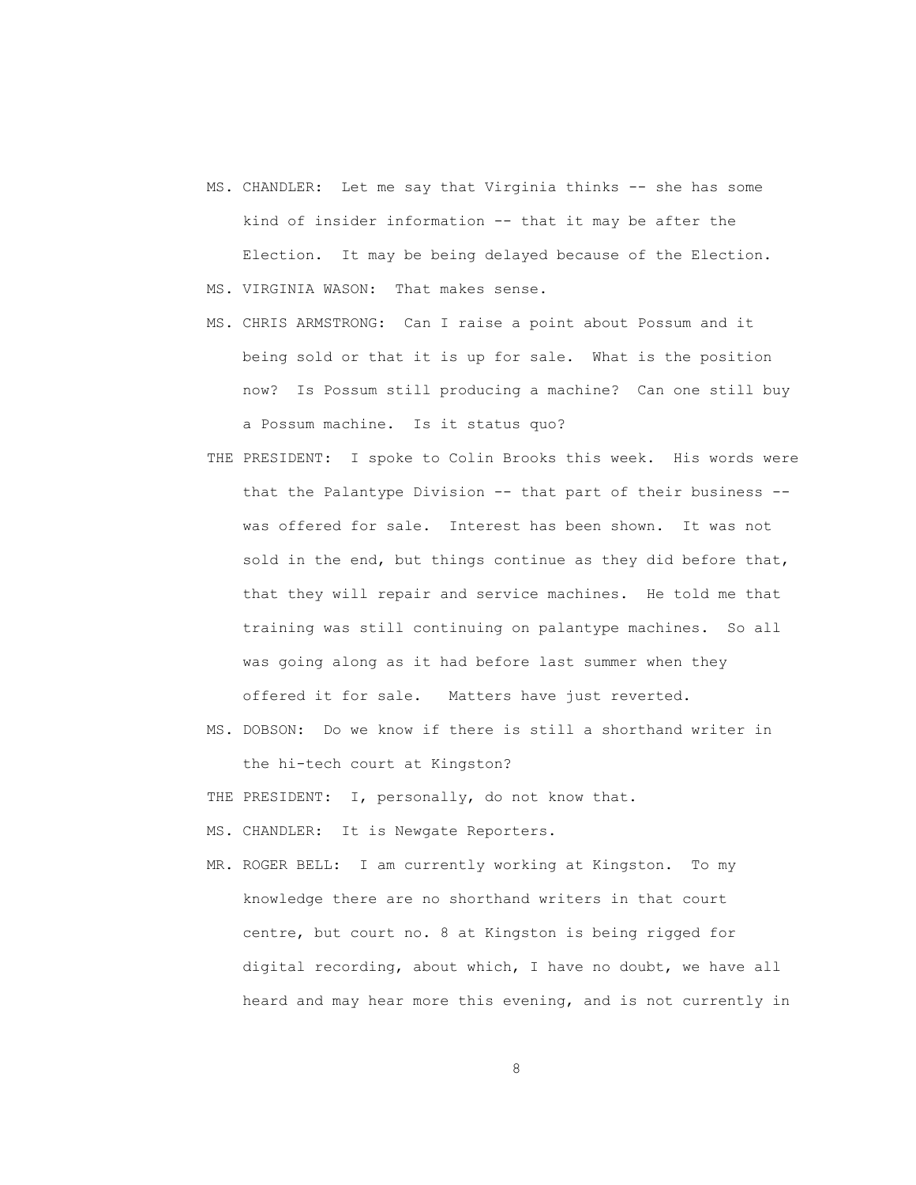- MS. CHANDLER: Let me say that Virginia thinks -- she has some kind of insider information -- that it may be after the Election. It may be being delayed because of the Election. MS. VIRGINIA WASON: That makes sense.
- MS. CHRIS ARMSTRONG: Can I raise a point about Possum and it being sold or that it is up for sale. What is the position now? Is Possum still producing a machine? Can one still buy a Possum machine. Is it status quo?
- THE PRESIDENT: I spoke to Colin Brooks this week. His words were that the Palantype Division -- that part of their business - was offered for sale. Interest has been shown. It was not sold in the end, but things continue as they did before that, that they will repair and service machines. He told me that training was still continuing on palantype machines. So all was going along as it had before last summer when they offered it for sale. Matters have just reverted.
- MS. DOBSON: Do we know if there is still a shorthand writer in the hi-tech court at Kingston?
- THE PRESIDENT: I, personally, do not know that.

MS. CHANDLER: It is Newgate Reporters.

 MR. ROGER BELL: I am currently working at Kingston. To my knowledge there are no shorthand writers in that court centre, but court no. 8 at Kingston is being rigged for digital recording, about which, I have no doubt, we have all heard and may hear more this evening, and is not currently in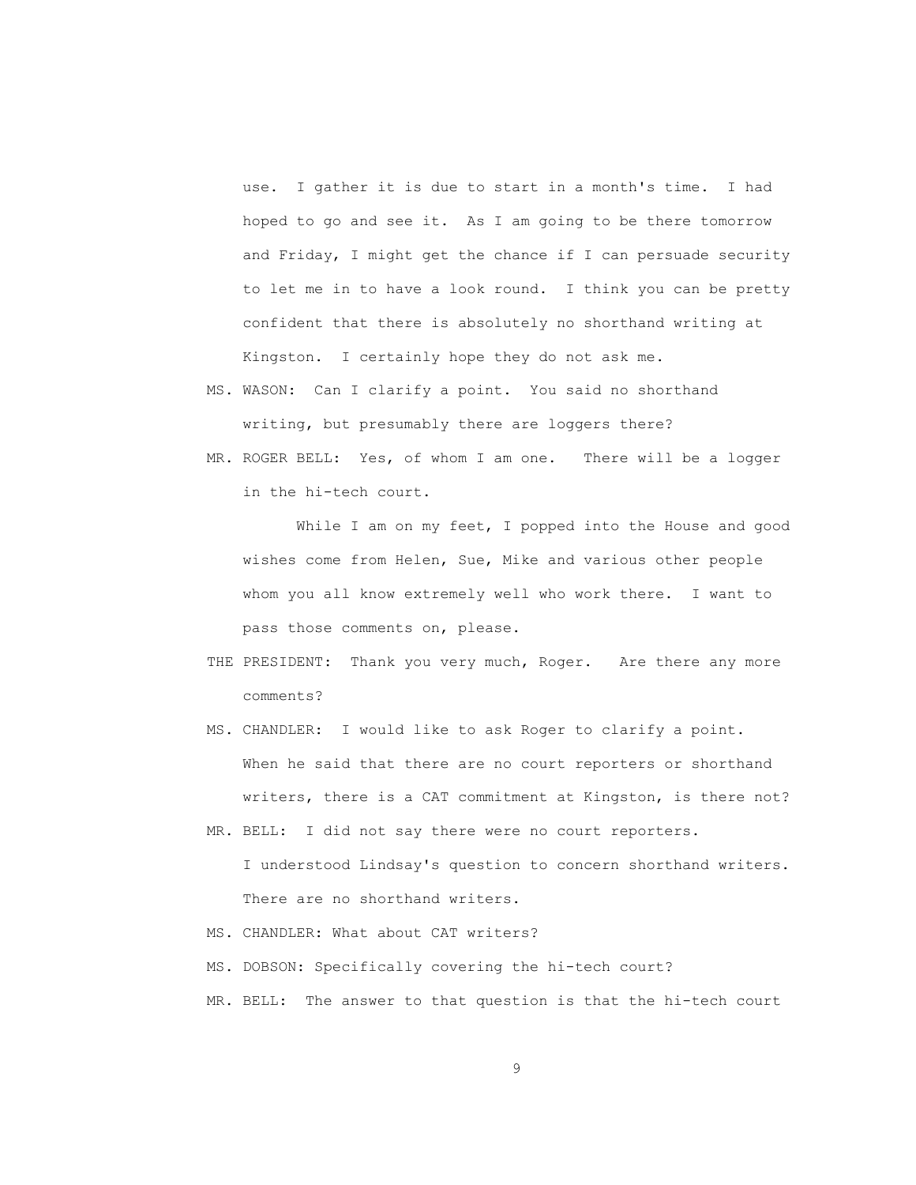use. I gather it is due to start in a month's time. I had hoped to go and see it. As I am going to be there tomorrow and Friday, I might get the chance if I can persuade security to let me in to have a look round. I think you can be pretty confident that there is absolutely no shorthand writing at Kingston. I certainly hope they do not ask me.

- MS. WASON: Can I clarify a point. You said no shorthand writing, but presumably there are loggers there?
- MR. ROGER BELL: Yes, of whom I am one. There will be a logger in the hi-tech court.

While I am on my feet, I popped into the House and good wishes come from Helen, Sue, Mike and various other people whom you all know extremely well who work there. I want to pass those comments on, please.

- THE PRESIDENT: Thank you very much, Roger. Are there any more comments?
- MS. CHANDLER: I would like to ask Roger to clarify a point. When he said that there are no court reporters or shorthand writers, there is a CAT commitment at Kingston, is there not?
- MR. BELL: I did not say there were no court reporters. I understood Lindsay's question to concern shorthand writers. There are no shorthand writers.
- MS. CHANDLER: What about CAT writers?
- MS. DOBSON: Specifically covering the hi-tech court?
- MR. BELL: The answer to that question is that the hi-tech court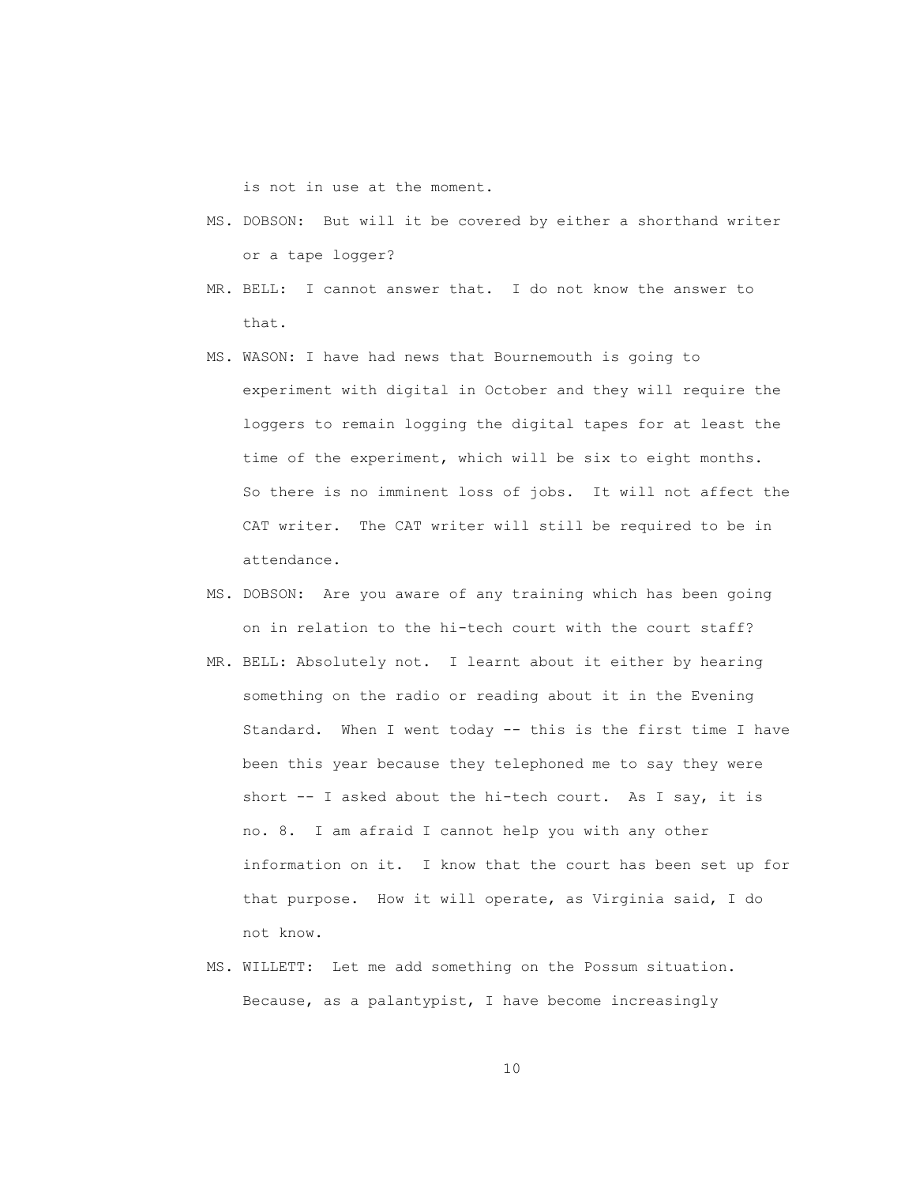is not in use at the moment.

- MS. DOBSON: But will it be covered by either a shorthand writer or a tape logger?
- MR. BELL: I cannot answer that. I do not know the answer to that.
- MS. WASON: I have had news that Bournemouth is going to experiment with digital in October and they will require the loggers to remain logging the digital tapes for at least the time of the experiment, which will be six to eight months. So there is no imminent loss of jobs. It will not affect the CAT writer. The CAT writer will still be required to be in attendance.
- MS. DOBSON: Are you aware of any training which has been going on in relation to the hi-tech court with the court staff?
- MR. BELL: Absolutely not. I learnt about it either by hearing something on the radio or reading about it in the Evening Standard. When I went today -- this is the first time I have been this year because they telephoned me to say they were short -- I asked about the hi-tech court. As I say, it is no. 8. I am afraid I cannot help you with any other information on it. I know that the court has been set up for that purpose. How it will operate, as Virginia said, I do not know.
- MS. WILLETT: Let me add something on the Possum situation. Because, as a palantypist, I have become increasingly